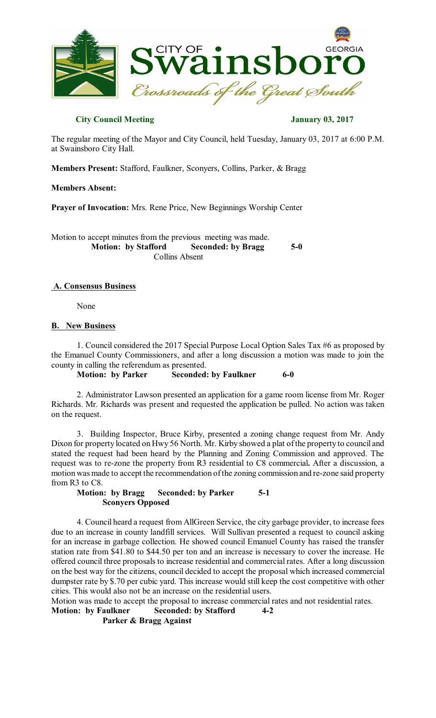

## **City Council Meeting January 03, 2017**

The regular meeting of the Mayor and City Council, held Tuesday, January 03, 2017 at 6:00 P.M. at Swainsboro City Hall.

**Members Present:** Stafford, Faulkner, Sconyers, Collins, Parker, & Bragg

#### **Members Absent:**

**Prayer of Invocation:** Mrs. Rene Price, New Beginnings Worship Center

Motion to accept minutes from the previous meeting was made.<br>Motion: by Stafford Seconded: by Bragg **Seconded:** by Bragg 5-0 Collins Absent

### **A. Consensus Business**

None

### **B. New Business**

1. Council considered the 2017 Special Purpose Local Option Sales Tax #6 as proposed by the Emanuel County Commissioners, and after a long discussion a motion was made to join the county in calling the referendum as presented.

**Motion: by Parker Seconded: by Faulkner 6-0** 

2. Administrator Lawson presented an application for a game room license from Mr. Roger Richards. Mr. Richards was present and requested the application be pulled. No action was taken on the request.

3. Building Inspector, Bruce Kirby, presented a zoning change request from Mr. Andy Dixon for property located on Hwy 56 North. Mr. Kirby showed a plat ofthe property to council and stated the request had been heard by the Planning and Zoning Commission and approved. The request was to re-zone the property from R3 residential to C8 commercial**.** After a discussion, a motion was made to accept the recommendation ofthe zoning commission and re-zone said property from R3 to C8.

## **Motion: by Bragg Seconded: by Parker 5-1 Sconyers Opposed**

4. Council heard a request from AllGreen Service, the city garbage provider, to increase fees due to an increase in county landfill services. Will Sullivan presented a request to council asking for an increase in garbage collection. He showed council Emanuel County has raised the transfer station rate from \$41.80 to \$44.50 per ton and an increase is necessary to cover the increase. He offered council three proposals to increase residential and commercial rates. After a long discussion on the best way for the citizens, council decided to accept the proposal which increased commercial dumpster rate by \$.70 per cubic yard. This increase would still keep the cost competitive with other cities. This would also not be an increase on the residential users.

Motion was made to accept the proposal to increase commercial rates and not residential rates.

**Motion: by Faulkner Seconded: by Stafford 4-2**

**Parker & Bragg Against**